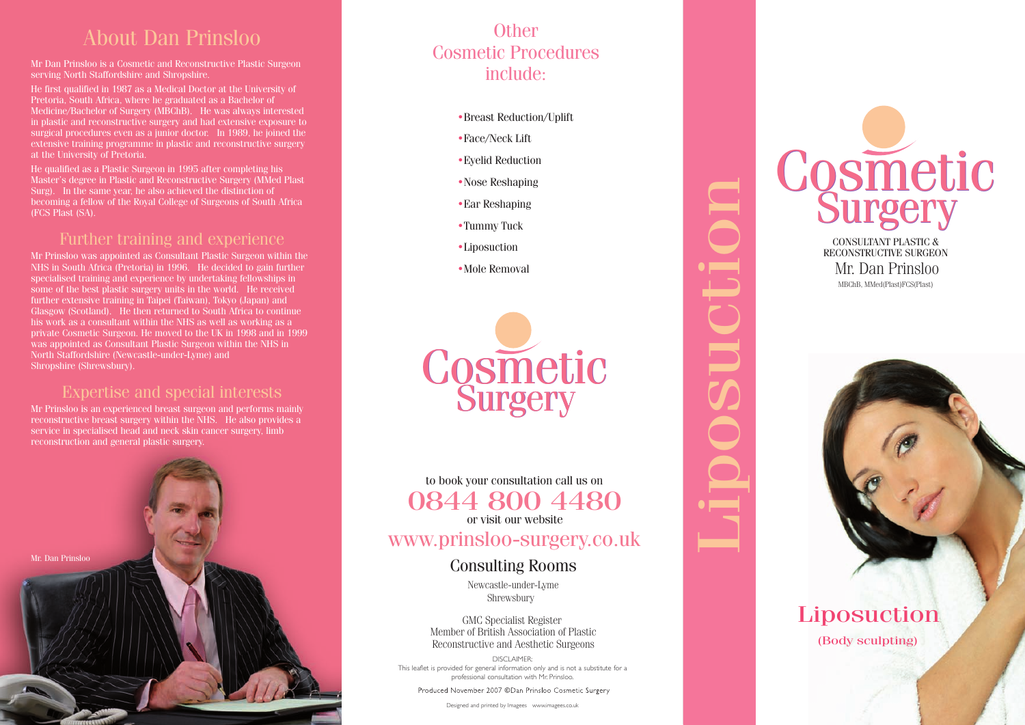#### About Dan Prinsloo

Mr Dan Prinsloo is a Cosmetic and Reconstructive Plastic Surgeon serving North Staffordshire and Shropshire.

He first qualified in 1987 as a Medical Doctor at the University of Medicine/Bachelor of Surgery (MBChB). He was always interested in plastic and reconstructive surgery and had extensive exposure to surgical procedures even as a junior doctor. In 1989, he joined the extensive training programme in plastic and reconstructive surgery

He qualified as a Plastic Surgeon in 1995 after completing his Master's degree in Plastic and Reconstructive Surgery (MMed Plast Surg). In the same year, he also achieved the distinction of becoming a fellow of the Royal College of Surgeons of South Africa (FCS Plast (SA).

#### Further training and experience

consumant whem the twist as we<br>tic Surgeon. He moved to the I<br>as Consultant Plastic Surgeon<br>Ishire (Newcastle-under-Lyme)<br>nrewsbury). Ethen returned to South Africa<br>
within the NHS as well as wor<br>
In He moved to the UK in 1998<br>
Iltant Plastic Surgeon within the Mr Prinsloo was appointed as Consultant Plastic Surgeon within the NHS in South Africa (Pretoria) in 1996. He decided to gain further specialised training and experience by undertaking fellowships in some of the best plastic surgery units in the world. He received further extensive training in Taipei (Taiwan), Tokyo (Japan) and Glasgow (Scotland). He then returned to South Africa to continue his work as a consultant within the NHS as well as working as a private Cosmetic Surgeon. He moved to the UK in 1998 and in 1999 was appointed as Consultant Plastic Surgeon within the NHS in North Staffordshire (Newcastle-under-Lyme) and Shropshire (Shrewsbury).

#### Expertise and special interests

Mr Prinsloo is an experienced breast surgeon and performs mainly reconstructive breast surgery within the NHS. He also provides a service in specialised head and neck skin cancer surgery, limb reconstruction and general plastic surgery.



#### Cosmetic Procedures include: **Other**

- •Breast Reduction/Uplift
- $\bullet$  Face/Neck Lift
- $\bullet$  Eyelid Reduction
- •Nose Reshaping
- Ear Reshaping
- $\bullet$ Tummy Tuck
- •Liposuction
- •Mole Removal



0844 800 4480 www.prinsloo-surgery.co.uk to book your consultation call us on or visit our website

# Consulting Rooms

Newcastle-under-Lyme Shrewsbury

Montou of British Regional GMC Specialist Register Reconstructive and Aesthetic Surgeons Member of British Association of Plastic

DISCLAIMER:<br>This leaflet is provided for general information only and is not a substitute for a DISCLAIMER: professional consultation with Mr. Prinsloo.

Designed and printed by Imagees www.imagees.co.uk



# Liposuction